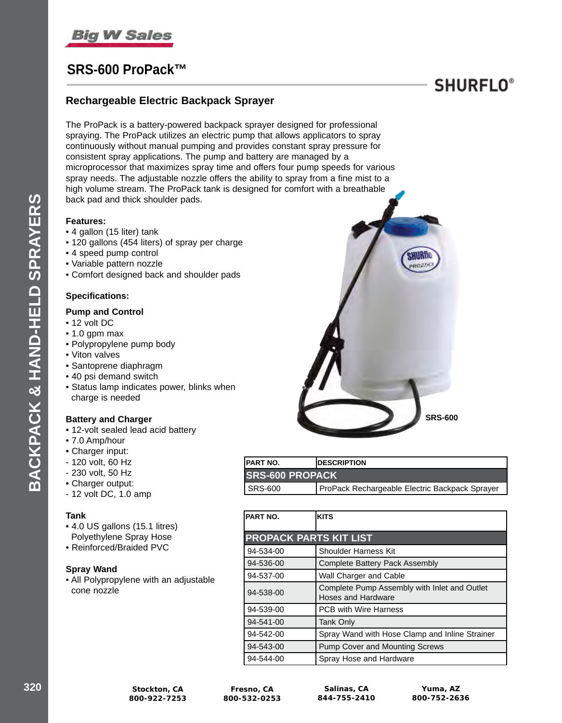

# **SRS-600 ProPack™**

## **Rechargeable Electric Backpack Sprayer**

The ProPack is a battery-powered backpack sprayer designed for professional spraying. The ProPack utilizes an electric pump that allows applicators to spray continuously without manual pumping and provides constant spray pressure for consistent spray applications. The pump and battery are managed by a microprocessor that maximizes spray time and offers four pump speeds for various spray needs. The adjustable nozzle offers the ability to spray from a fine mist to a high volume stream. The ProPack tank is designed for comfort with a breathable back pad and thick shoulder pads.

### **Features:**

- 4 gallon (15 liter) tank
- 120 gallons (454 liters) of spray per charge
- 4 speed pump control
- Variable pattern nozzle
- Comfort designed back and shoulder pads

### **Specifications:**

### **Pump and Control**

• 12 volt DC

**BACKPACK & HAND-HELD SPRAYERS**

BACKPACK & HAND-HELD SPRAYERS

- 1.0 gpm max
- Polypropylene pump body
- Viton valves
- Santoprene diaphragm
- 40 psi demand switch
- Status lamp indicates power, blinks when charge is needed

### **Battery and Charger**

- 12-volt sealed lead acid battery
- 7.0 Amp/hour
- Charger input:
- 120 volt, 60 Hz
- 230 volt, 50 Hz
- Charger output:
- 12 volt DC, 1.0 amp

#### **Tank**

- 4.0 US gallons (15.1 litres) Polyethylene Spray Hose
- Reinforced/Braided PVC

### **Spray Wand**

• All Polypropylene with an adjustable cone nozzle



**SHURFLO**<sup>®</sup>

| IPART NO.              | <b>IDESCRIPTION</b>                            |
|------------------------|------------------------------------------------|
| <b>SRS-600 PROPACK</b> |                                                |
| SRS-600                | ProPack Rechargeable Electric Backpack Sprayer |

| PART NO.                      | <b>KITS</b>                                                        |
|-------------------------------|--------------------------------------------------------------------|
| <b>PROPACK PARTS KIT LIST</b> |                                                                    |
| 94-534-00                     | <b>Shoulder Harness Kit</b>                                        |
| 94-536-00                     | <b>Complete Battery Pack Assembly</b>                              |
| 94-537-00                     | Wall Charger and Cable                                             |
| 94-538-00                     | Complete Pump Assembly with Inlet and Outlet<br>Hoses and Hardware |
| 94-539-00                     | <b>PCB with Wire Harness</b>                                       |
| 94-541-00                     | <b>Tank Only</b>                                                   |
| 94-542-00                     | Spray Wand with Hose Clamp and Inline Strainer                     |
| 94-543-00                     | <b>Pump Cover and Mounting Screws</b>                              |
| 94-544-00                     | Spray Hose and Hardware                                            |

**Fresno, CA 800-532-0253**

**Salinas, CA 844-755-2410**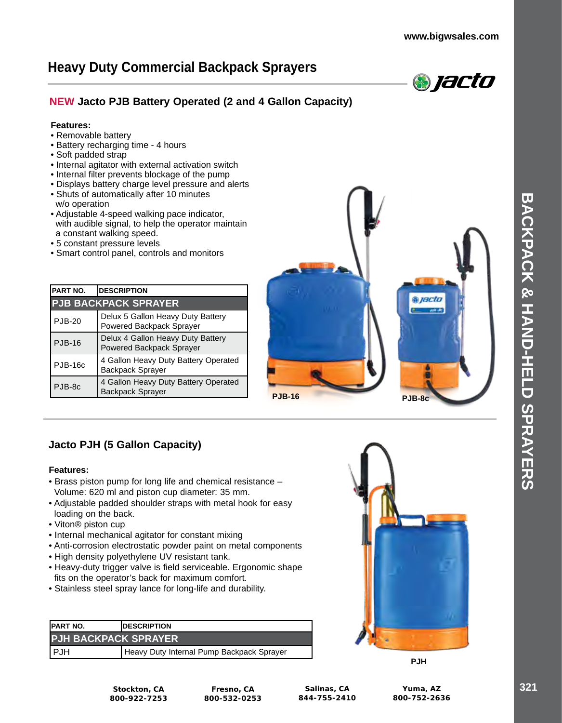# **Heavy Duty Commercial Backpack Sprayers**



## **NEW Jacto PJB Battery Operated (2 and 4 Gallon Capacity)**

### **Features:**

- Removable battery
- Battery recharging time 4 hours
- Soft padded strap
- Internal agitator with external activation switch
- Internal filter prevents blockage of the pump
- Displays battery charge level pressure and alerts
- Shuts of automatically after 10 minutes w/o operation
- Adjustable 4-speed walking pace indicator, with audible signal, to help the operator maintain a constant walking speed.
- 5 constant pressure levels
- Smart control panel, controls and monitors

| PART NO.                    | <b>DESCRIPTION</b>                                              |
|-----------------------------|-----------------------------------------------------------------|
| <b>PJB BACKPACK SPRAYER</b> |                                                                 |
| <b>PJB-20</b>               | Delux 5 Gallon Heavy Duty Battery<br>Powered Backpack Sprayer   |
| <b>PJB-16</b>               | Delux 4 Gallon Heavy Duty Battery<br>Powered Backpack Sprayer   |
| <b>PJB-16c</b>              | 4 Gallon Heavy Duty Battery Operated<br>Backpack Sprayer        |
| PJB-8c                      | 4 Gallon Heavy Duty Battery Operated<br><b>Backpack Sprayer</b> |



## **Jacto PJH (5 Gallon Capacity)**

### **Features:**

- Brass piston pump for long life and chemical resistance Volume: 620 ml and piston cup diameter: 35 mm.
- Adjustable padded shoulder straps with metal hook for easy loading on the back.
- Viton® piston cup
- Internal mechanical agitator for constant mixing
- Anti-corrosion electrostatic powder paint on metal components
- High density polyethylene UV resistant tank.
- Heavy-duty trigger valve is field serviceable. Ergonomic shape fits on the operator's back for maximum comfort.
- Stainless steel spray lance for long-life and durability.

| <b>IPART NO.</b>            | <b>IDESCRIPTION</b>                       |
|-----------------------------|-------------------------------------------|
| <b>PJH BACKPACK SPRAYER</b> |                                           |
| PJH                         | Heavy Duty Internal Pump Backpack Sprayer |



**PJH**

**Stockton, CA 800-922-7253**

**Fresno, CA 800-532-0253**

**Salinas, CA 844-755-2410**

**Yuma, AZ 800-752-2636**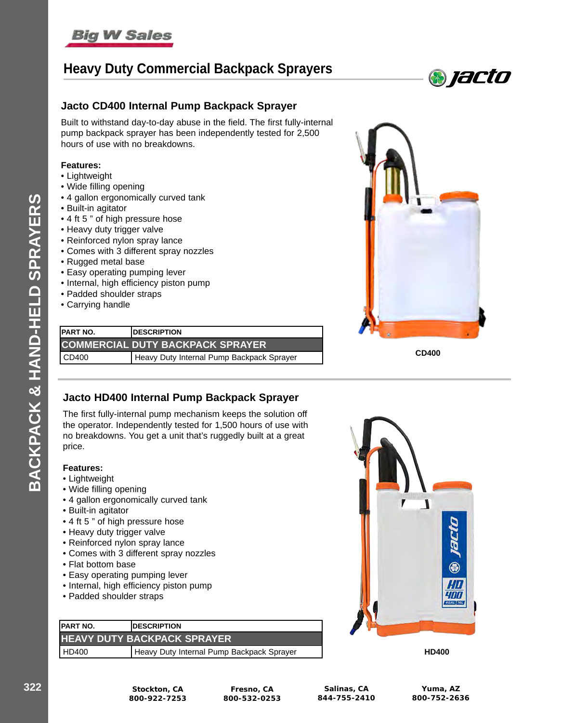

# **Heavy Duty Commercial Backpack Sprayers**



### **Jacto CD400 Internal Pump Backpack Sprayer**

Built to withstand day-to-day abuse in the field. The first fully-internal pump backpack sprayer has been independently tested for 2,500 hours of use with no breakdowns.

#### **Features:**

- Lightweight
- Wide filling opening
- 4 gallon ergonomically curved tank
- Built-in agitator
- 4 ft 5 " of high pressure hose
- Heavy duty trigger valve
- Reinforced nylon spray lance
- Comes with 3 different spray nozzles
- Rugged metal base
- Easy operating pumping lever
- Internal, high efficiency piston pump
- Padded shoulder straps
- Carrying handle

| <b>IPART NO.</b>                        | <b>IDESCRIPTION</b>                       |
|-----------------------------------------|-------------------------------------------|
| <b>COMMERCIAL DUTY BACKPACK SPRAYER</b> |                                           |
| $\vert$ CD400                           | Heavy Duty Internal Pump Backpack Sprayer |



**CD400**

### **Jacto HD400 Internal Pump Backpack Sprayer**

The first fully-internal pump mechanism keeps the solution off the operator. Independently tested for 1,500 hours of use with no breakdowns. You get a unit that's ruggedly built at a great price.

### **Features:**

- Lightweight
- Wide filling opening
- 4 gallon ergonomically curved tank
- Built-in agitator
- 4 ft 5 " of high pressure hose
- Heavy duty trigger valve
- Reinforced nylon spray lance
- Comes with 3 different spray nozzles
- Flat bottom base
- Easy operating pumping lever
- Internal, high efficiency piston pump
- Padded shoulder straps

| <b>IPART NO.</b>                    | <b>IDESCRIPTION</b>                       |
|-------------------------------------|-------------------------------------------|
| <b>HEAVY DUTY BACKPACK SPRAYER,</b> |                                           |
| HD400                               | Heavy Duty Internal Pump Backpack Sprayer |



**HD400**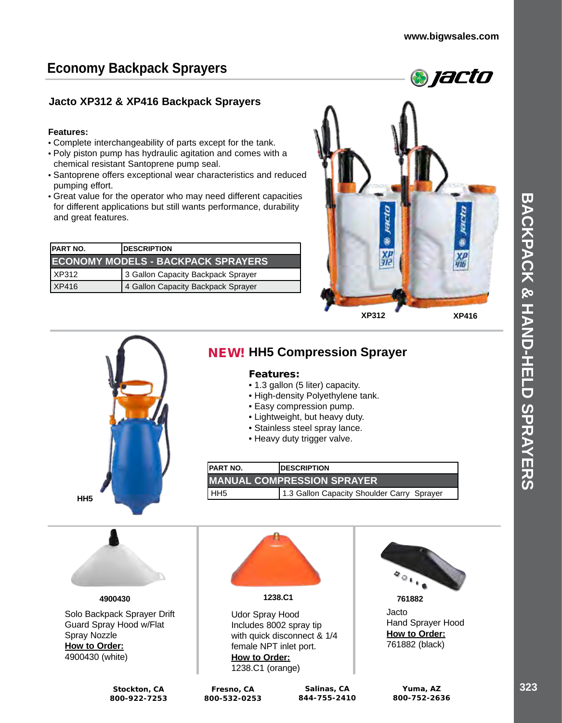# **Economy Backpack Sprayers**

## **Jacto XP312 & XP416 Backpack Sprayers**

### **Features:**

- Complete interchangeability of parts except for the tank.
- Poly piston pump has hydraulic agitation and comes with a chemical resistant Santoprene pump seal.
- Santoprene offers exceptional wear characteristics and reduced pumping effort.
- Great value for the operator who may need different capacities for different applications but still wants performance, durability and great features.

| <b>IPART NO.</b> | <b>IDESCRIPTION</b>                       |
|------------------|-------------------------------------------|
|                  | <b>ECONOMY MODELS - BACKPACK SPRAYERS</b> |
| XP312            | 3 Gallon Capacity Backpack Sprayer        |
| XP416            | 4 Gallon Capacity Backpack Sprayer        |



**HH5**

# NEW! **HH5 Compression Sprayer**

### Features:

- 1.3 gallon (5 liter) capacity.
- High-density Polyethylene tank.
- Easy compression pump.
- Lightweight, but heavy duty.
- Stainless steel spray lance.
- Heavy duty trigger valve.
- 

| <b>IPART NO.</b>  | <b>IDESCRIPTION</b>                        |
|-------------------|--------------------------------------------|
|                   | <b>MANUAL COMPRESSION SPRAYER</b>          |
| I HH <sub>5</sub> | 1.3 Gallon Capacity Shoulder Carry Sprayer |

**4900430**

Solo Backpack Sprayer Drift Guard Spray Hood w/Flat Spray Nozzle **How to Order:** 4900430 (white)

> **Stockton, CA 800-922-7253**



### **1238.C1 761882**

Udor Spray Hood Includes 8002 spray tip with quick disconnect & 1/4 female NPT inlet port. **How to Order:** 1238.C1 (orange)

**Fresno, CA** 

**Salinas, CA 844-755-2410**



Jacto Hand Sprayer Hood **How to Order:**

761882 (black)

**Yuma, AZ 800-752-2636**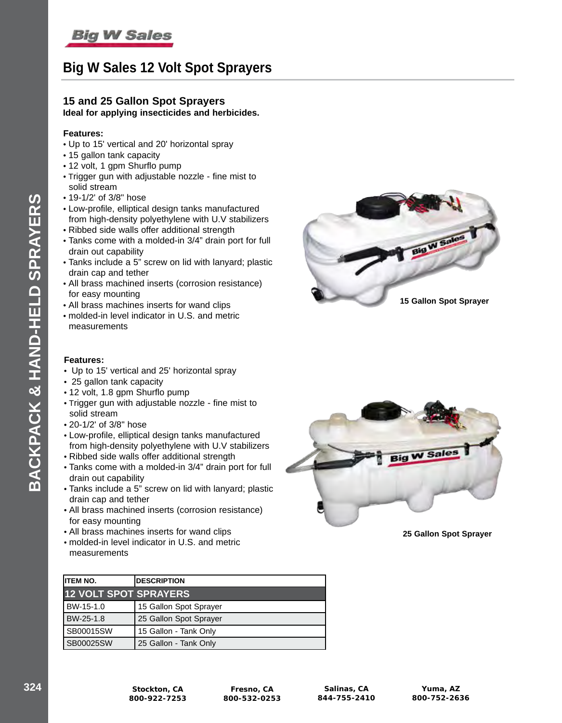# **Big W Sales 12 Volt Spot Sprayers**

# **15 and 25 Gallon Spot Sprayers**

## **Ideal for applying insecticides and herbicides.**

### **Features:**

- Up to 15' vertical and 20' horizontal spray
- 15 gallon tank capacity
- 12 volt, 1 gpm Shurflo pump
- Trigger gun with adjustable nozzle fine mist to solid stream
- 19-1/2' of 3/8" hose
- Low-profile, elliptical design tanks manufactured from high-density polyethylene with U.V stabilizers
- Ribbed side walls offer additional strength
- Tanks come with a molded-in 3/4" drain port for full drain out capability
- Tanks include a 5" screw on lid with lanyard; plastic drain cap and tether
- All brass machined inserts (corrosion resistance) for easy mounting
- All brass machines inserts for wand clips
- molded-in level indicator in U.S. and metric measurements

### **Features:**

**BACKPACK & HAND-HELD SPRAYERS**

BACKPACK & HAND-HELD SPRAYERS

- Up to 15' vertical and 25' horizontal spray
- 25 gallon tank capacity
- 12 volt, 1.8 gpm Shurflo pump
- Trigger gun with adjustable nozzle fine mist to solid stream
- 20-1/2' of 3/8" hose
- Low-profile, elliptical design tanks manufactured from high-density polyethylene with U.V stabilizers
- Ribbed side walls offer additional strength
- Tanks come with a molded-in 3/4" drain port for full drain out capability
- Tanks include a 5" screw on lid with lanyard; plastic drain cap and tether
- All brass machined inserts (corrosion resistance) for easy mounting
- All brass machines inserts for wand clips
- molded-in level indicator in U.S. and metric measurements

| <b>IITEM NO.</b>             | <b>DESCRIPTION</b>     |
|------------------------------|------------------------|
| <b>12 VOLT SPOT SPRAYERS</b> |                        |
| BW-15-1.0                    | 15 Gallon Spot Sprayer |
| BW-25-1.8                    | 25 Gallon Spot Sprayer |
| SB00015SW                    | 15 Gallon - Tank Only  |
| SB00025SW                    | 25 Gallon - Tank Only  |





**25 Gallon Spot Sprayer**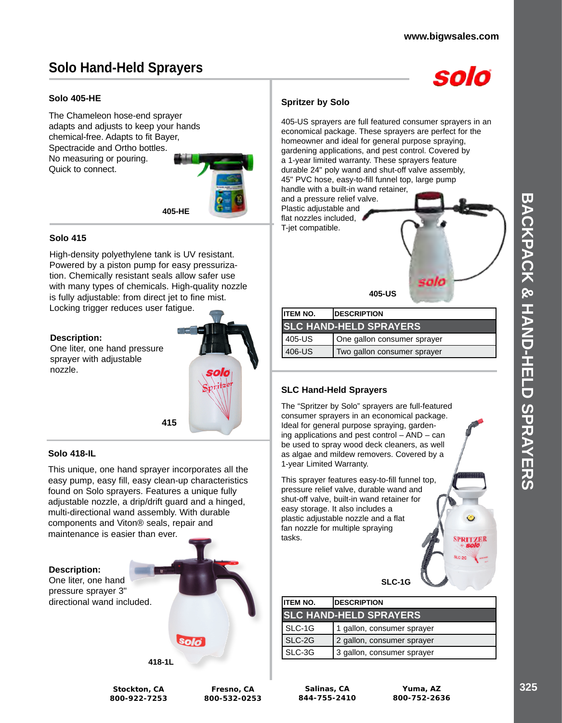# **Solo Hand-Held Sprayers**



### **Solo 405-HE**

The Chameleon hose-end sprayer adapts and adjusts to keep your hands chemical-free. Adapts to fit Bayer, Spectracide and Ortho bottles. No measuring or pouring. Quick to connect.



### **Solo 415**

High-density polyethylene tank is UV resistant. Powered by a piston pump for easy pressurization. Chemically resistant seals allow safer use with many types of chemicals. High-quality nozzle is fully adjustable: from direct jet to fine mist. Locking trigger reduces user fatigue.

#### **Description:**

One liter, one hand pressure sprayer with adjustable nozzle.



#### **Solo 418-IL**

This unique, one hand sprayer incorporates all the easy pump, easy fill, easy clean-up characteristics found on Solo sprayers. Features a unique fully adjustable nozzle, a drip/drift guard and a hinged, multi-directional wand assembly. With durable components and Viton® seals, repair and maintenance is easier than ever.



### **Spritzer by Solo**

405-US sprayers are full featured consumer sprayers in an economical package. These sprayers are perfect for the homeowner and ideal for general purpose spraying, gardening applications, and pest control. Covered by a 1-year limited warranty. These sprayers feature durable 24" poly wand and shut-off valve assembly, 45" PVC hose, easy-to-fill funnel top, large pump

and a pressure relief valve. Plastic adjustable and flat nozzles included, T-jet compatible.



| IITEM NO.                     | <b>IDESCRIPTION</b>         |
|-------------------------------|-----------------------------|
| <b>SLC HAND-HELD SPRAYERS</b> |                             |
| l 405-US                      | One gallon consumer sprayer |
| l 406-US                      | Two gallon consumer sprayer |

### **SLC Hand-Held Sprayers**

The "Spritzer by Solo" sprayers are full-featured consumer sprayers in an economical package. Ideal for general purpose spraying, gardening applications and pest control – AND – can be used to spray wood deck cleaners, as well as algae and mildew removers. Covered by a 1-year Limited Warranty.

This sprayer features easy-to-fill funnel top, pressure relief valve, durable wand and shut-off valve, built-in wand retainer for easy storage. It also includes a plastic adjustable nozzle and a flat fan nozzle for multiple spraying tasks.

**SLC-1G**

| <b>ITEM NO.</b>               | <b>DESCRIPTION</b>         |  |
|-------------------------------|----------------------------|--|
| <b>SLC HAND-HELD SPRAYERS</b> |                            |  |
| SLC-1G                        | 1 gallon, consumer sprayer |  |
| SLC-2G                        | 2 gallon, consumer sprayer |  |
| SLC-3G                        | 3 gallon, consumer sprayer |  |

**Stockton, CA 800-922-7253**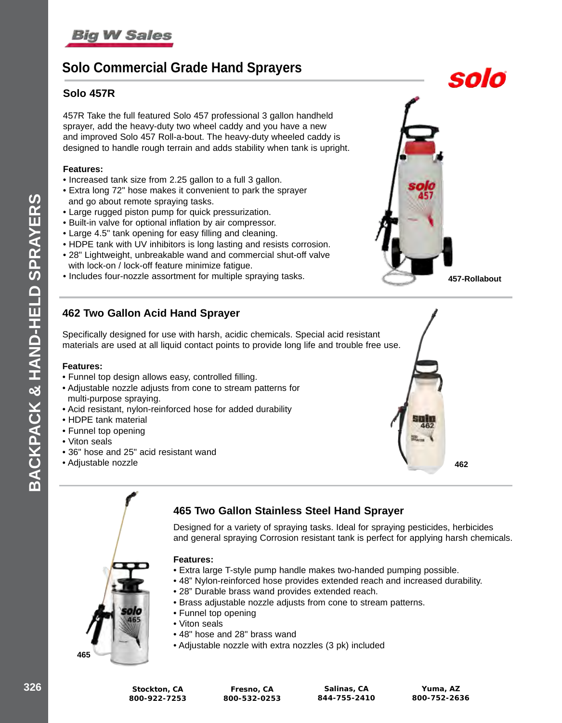# **Solo Commercial Grade Hand Sprayers**

### **Solo 457R**

457R Take the full featured Solo 457 professional 3 gallon handheld sprayer, add the heavy-duty two wheel caddy and you have a new and improved Solo 457 Roll-a-bout. The heavy-duty wheeled caddy is designed to handle rough terrain and adds stability when tank is upright.

### **Features:**

- Increased tank size from 2.25 gallon to a full 3 gallon.
- Extra long 72" hose makes it convenient to park the sprayer and go about remote spraying tasks.
- Large rugged piston pump for quick pressurization.
- Built-in valve for optional inflation by air compressor.
- Large 4.5" tank opening for easy filling and cleaning.
- HDPE tank with UV inhibitors is long lasting and resists corrosion.
- 28" Lightweight, unbreakable wand and commercial shut-off valve with lock-on / lock-off feature minimize fatigue.
- Includes four-nozzle assortment for multiple spraying tasks. **457-Rollabout**

## **462 Two Gallon Acid Hand Sprayer**

Specifically designed for use with harsh, acidic chemicals. Special acid resistant materials are used at all liquid contact points to provide long life and trouble free use.

### **Features:**

**BACKPACK & HAND-HELD SPRAYERS**

CKPACK & HAND-HELD SPRAYERS

- Funnel top design allows easy, controlled filling.
- Adjustable nozzle adjusts from cone to stream patterns for multi-purpose spraying.
- Acid resistant, nylon-reinforced hose for added durability
- HDPE tank material
- Funnel top opening
- Viton seals
- 36" hose and 25" acid resistant wand
- Adjustable nozzle **462**



Designed for a variety of spraying tasks. Ideal for spraying pesticides, herbicides and general spraying Corrosion resistant tank is perfect for applying harsh chemicals.

### **Features:**

- Extra large T-style pump handle makes two-handed pumping possible.
- 48" Nylon-reinforced hose provides extended reach and increased durability.
- 28" Durable brass wand provides extended reach.
- Brass adjustable nozzle adjusts from cone to stream patterns.
- Funnel top opening
- Viton seals
- 48" hose and 28" brass wand
- Adjustable nozzle with extra nozzles (3 pk) included



solo